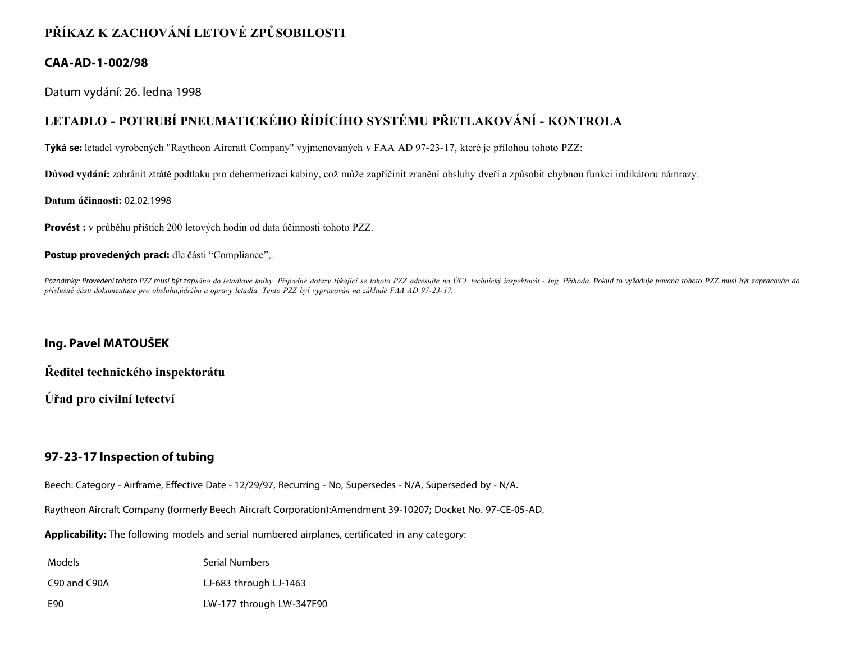# **PŘÍKAZ K ZACHOVÁNÍ LETOVÉ ZPŮSOBILOSTI**

### **CAA-AD-1-002/98**

Datum vydání: 26. ledna 1998

## **LETADLO - POTRUBÍ PNEUMATICKÉHO ŘÍDÍCÍHO SYSTÉMU PŘETLAKOVÁNÍ - KONTROLA**

**Týká se:** letadel vyrobených "Raytheon Aircraft Company" vyjmenovaných v FAA AD 97-23-17, které je přílohou tohoto PZZ:

**Důvod vydání:** zabránit ztrátě podtlaku pro dehermetizaci kabiny, což může zapříčinit zranění obsluhy dveří a způsobit chybnou funkci indikátoru námrazy.

#### **Datum účinnosti:** 02.02.1998

**Provést :** v průběhu příštích 200 letových hodin od data účinnosti tohoto PZZ.

#### Postup provedených prací: dle části "Compliance",.

Poznámky: Provedení tohoto PZZ musí být zapsáno do letadlové knihy. Případné dotazy týkající se tohoto PZZ adresujte na ÚCL technický inspektorát - Ing. Příhoda. Pokud to vyžaduje povaha tohoto PZZ musí být zapracován do *příslušné části dokumentace pro obsluhu,údržbu a opravy letadla. Tento PZZ byl vypracován na základě FAA AD 97-23-17.*

## **Ing. Pavel MATOUŠEK**

**Ředitel technického inspektorátu**

**Úřad pro civilní letectví**

### **97-23-17 Inspection of tubing**

Beech: Category - Airframe, Effective Date - 12/29/97, Recurring - No, Supersedes - N/A, Superseded by - N/A.

Raytheon Aircraft Company (formerly Beech Aircraft Corporation):Amendment 39-10207; Docket No. 97-CE-05-AD.

**Applicability:** The following models and serial numbered airplanes, certificated in any category:

| Models | <b>Serial Numbers</b> |
|--------|-----------------------|
|--------|-----------------------|

C90 and C90A LJ-683 through LJ-1463

E90 LW-177 through LW-347F90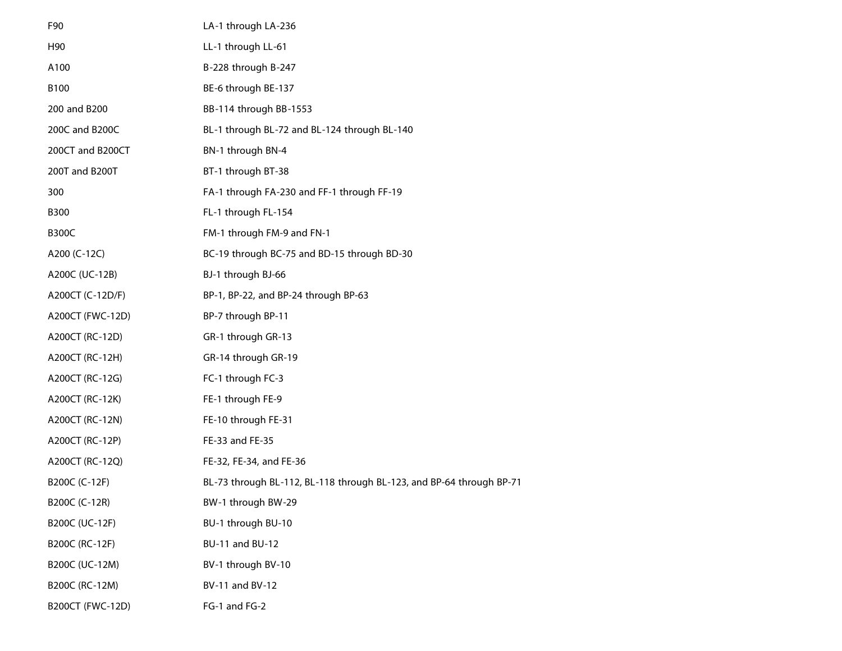| F90                     | LA-1 through LA-236                                                  |
|-------------------------|----------------------------------------------------------------------|
| H90                     | LL-1 through LL-61                                                   |
| A100                    | B-228 through B-247                                                  |
| B100                    | BE-6 through BE-137                                                  |
| 200 and B200            | BB-114 through BB-1553                                               |
| 200C and B200C          | BL-1 through BL-72 and BL-124 through BL-140                         |
| 200CT and B200CT        | BN-1 through BN-4                                                    |
| 200T and B200T          | BT-1 through BT-38                                                   |
| 300                     | FA-1 through FA-230 and FF-1 through FF-19                           |
| <b>B300</b>             | FL-1 through FL-154                                                  |
| <b>B300C</b>            | FM-1 through FM-9 and FN-1                                           |
| A200 (C-12C)            | BC-19 through BC-75 and BD-15 through BD-30                          |
| A200C (UC-12B)          | BJ-1 through BJ-66                                                   |
| A200CT (C-12D/F)        | BP-1, BP-22, and BP-24 through BP-63                                 |
| A200CT (FWC-12D)        | BP-7 through BP-11                                                   |
| A200CT (RC-12D)         | GR-1 through GR-13                                                   |
| A200CT (RC-12H)         | GR-14 through GR-19                                                  |
| A200CT (RC-12G)         | FC-1 through FC-3                                                    |
| A200CT (RC-12K)         | FE-1 through FE-9                                                    |
| A200CT (RC-12N)         | FE-10 through FE-31                                                  |
| A200CT (RC-12P)         | FE-33 and FE-35                                                      |
| A200CT (RC-12Q)         | FE-32, FE-34, and FE-36                                              |
| B200C (C-12F)           | BL-73 through BL-112, BL-118 through BL-123, and BP-64 through BP-71 |
| B200C (C-12R)           | BW-1 through BW-29                                                   |
| B200C (UC-12F)          | BU-1 through BU-10                                                   |
| B200C (RC-12F)          | BU-11 and BU-12                                                      |
| B200C (UC-12M)          | BV-1 through BV-10                                                   |
| B200C (RC-12M)          | BV-11 and BV-12                                                      |
| <b>B200CT (FWC-12D)</b> | FG-1 and FG-2                                                        |